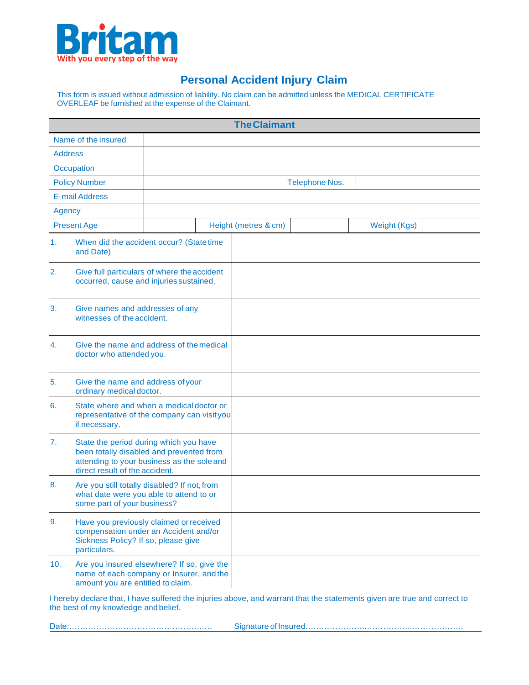

## **Personal Accident Injury Claim**

This form is issued without admission of liability. No claim can be admitted unless the MEDICAL CERTIFICATE OVERLEAF be furnished at the expense of the Claimant.

|                                                                                                               |                                                                                                                                                                    |  |  | <b>The Claimant</b>  |                       |              |  |
|---------------------------------------------------------------------------------------------------------------|--------------------------------------------------------------------------------------------------------------------------------------------------------------------|--|--|----------------------|-----------------------|--------------|--|
| Name of the insured                                                                                           |                                                                                                                                                                    |  |  |                      |                       |              |  |
| <b>Address</b>                                                                                                |                                                                                                                                                                    |  |  |                      |                       |              |  |
| Occupation                                                                                                    |                                                                                                                                                                    |  |  |                      |                       |              |  |
| <b>Policy Number</b>                                                                                          |                                                                                                                                                                    |  |  |                      | <b>Telephone Nos.</b> |              |  |
|                                                                                                               | <b>E-mail Address</b>                                                                                                                                              |  |  |                      |                       |              |  |
| Agency                                                                                                        |                                                                                                                                                                    |  |  |                      |                       |              |  |
| <b>Present Age</b>                                                                                            |                                                                                                                                                                    |  |  | Height (metres & cm) |                       | Weight (Kgs) |  |
| 1.                                                                                                            | When did the accident occur? (State time<br>and Date)                                                                                                              |  |  |                      |                       |              |  |
| Give full particulars of where the accident<br>2.<br>occurred, cause and injuries sustained.                  |                                                                                                                                                                    |  |  |                      |                       |              |  |
| 3.                                                                                                            | Give names and addresses of any<br>witnesses of the accident.                                                                                                      |  |  |                      |                       |              |  |
| 4.                                                                                                            | Give the name and address of the medical<br>doctor who attended you.                                                                                               |  |  |                      |                       |              |  |
| 5.                                                                                                            | Give the name and address of your<br>ordinary medical doctor.                                                                                                      |  |  |                      |                       |              |  |
| State where and when a medical doctor or<br>6.<br>representative of the company can visityou<br>if necessary. |                                                                                                                                                                    |  |  |                      |                       |              |  |
| 7.                                                                                                            | State the period during which you have<br>been totally disabled and prevented from<br>attending to your business as the sole and<br>direct result of the accident. |  |  |                      |                       |              |  |
| 8.                                                                                                            | Are you still totally disabled? If not, from<br>what date were you able to attend to or<br>some part of your business?                                             |  |  |                      |                       |              |  |
| 9.                                                                                                            | Have you previously claimed or received<br>compensation under an Accident and/or<br>Sickness Policy? If so, please give<br>particulars.                            |  |  |                      |                       |              |  |
| 10.                                                                                                           | Are you insured elsewhere? If so, give the<br>name of each company or Insurer, and the<br>amount you are entitled to claim.                                        |  |  |                      |                       |              |  |

I hereby declare that, I have suffered the injuries above, and warrant that the statements given are true and correct to the best of my knowledge and belief.

|--|--|